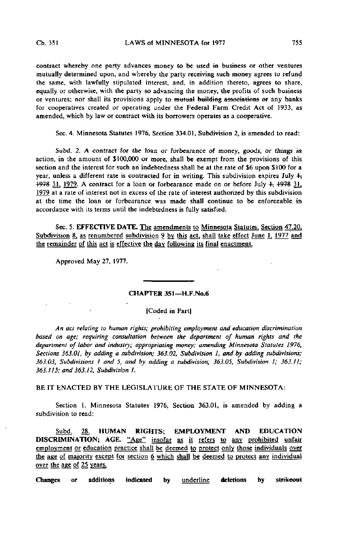contract whereby one party advances money to be used in business or other ventures mutually determined upon, and whereby the party receiving such money agrees to refund the same, with lawfully stipulated interest, and, in addition thereto, agrees to share, equally or otherwise, with the party so advancing the money, the profits of such business or ventures; nor shall its provisions apply to mutual building associations or any banks for cooperatives created or operating under the Federal Farm Credit Act of 1933, as amended, which by law or contract with its borrowers operates as a cooperative.

Sec. 4. Minnesota Statutes 1976, Section 334.01, Subdivision 2, is amended to read:

Subd. 2. A contract for the loan or forbearance of money, goods, or things in action, in the amount of \$100,000 or more, shall be exempt from the provisions of this section and the interest for such an indebtedness shall be at the rate of \$6 upon \$100 for a year, unless a different rate is contracted for in writing. This subdivision expires July  $\frac{1}{2}$ 1978 31, 1979. A contract for a loan or forbearance made on or before July  $\frac{1}{2}$ , 1978 31, 1979 at a rate of interest not in excess of the rate of interest authorized by this subdivision at the time the loan or forbearance was made shall continue to be enforceable in accordance with its terms until the indebtedness is fully satisfied.

Sec. 5. EFFECTIVE DATE. The amendments to Minnesota Statutes. Section 47.20. Subdivision  $8$ , as renumbered subdivision 9 by this act, shall take effect June 1, 1977 and the remainder of this act is effective the day following its final enactment.

Approved May 27, 1977.

## CHAPTER 351—H.F.No.6

## ICoded in Part|

An act relating to human rights; prohibiting employment and education discrimination based on age; reauiring consultation between the department of human rights and the department of labor and industry; appropriating money; amending Minnesota Statutes 1976, Sections 363.01, by adding a subdivision; 363.02, Subdivision 1, and by adding subdivisions; 363.03, Subdivisions I and 5, and by adding a subdivision; 363.05, Subdivision 1; 363.11; 363.115; and 363.12, Subdivision I.

BE IT ENACTED BY THE LEGISLATURE OF THE STATE OF MINNESOTA:

Section 1. Minnesota Statutes 1976, Section 363.01, is amended by adding a subdivision to read:

Subd. 28. HUMAN RIGHTS; EMPLOYMENT AND EDUCATION DISCRIMINATION; AGE. "Age" insofar as it refers to any prohibited unfair employment or education practice shall be deemed to protect only those individuals over the age of majority except for section 6 which shall be deemed to protect any individual over the age of 25 years,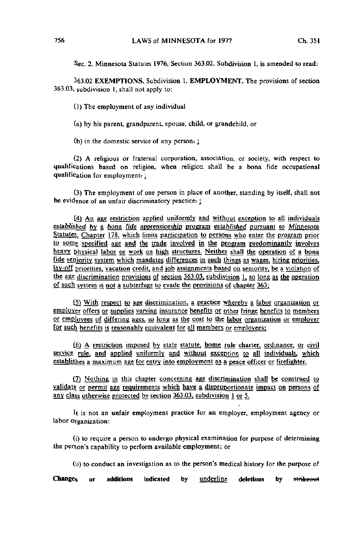Sec. 2. Minnesota Statutes 1976, Section 363.02, Subdivision 1, is amended to read:

363.02 EXEMPTIONS. Subdivision 1. EMPLOYMENT. The provisions of section 363.03, subdivision 1, shall not apply to:

(1) The employment of any individual

(a) by his parent, grandparent, spouse, child, or grandchild, or

(b) in the domestic service of any person.  $\frac{1}{2}$ 

(2) A religious or fraternal corporation, association, or society, with respect to qualifications based on religion, when religion shall be a bona fide occupational qualification for employment: ;

(3) The employment of one person in place of another, standing by itself, shall not be evidence of an unfair discriminatory practice.  $\frac{1}{2}$ 

(4) An age restriction applied uniformly and without exception to all individuals established by a bona fide apprenticeship program established pursuant to Minnesota Statutes, Chapter 178, which limits participation to persons who enter the program prior to some specified age and the trade involved in the program predominantly involves heavy physical labor or work on high structures. Neither shall the operation of a bona fide seniority system which mandates differences in such things as wages, hiring priorities. lay-off priorities, vacation credit, and job assignments based on seniority, be a violation of the age discrimination provisions of section 363.03. subdivision 1, so long as the operation of such system is not a subterfuge to evade the provisions of chapter 363;

£5) With respect to age discrimination, a practice whereby a labor organization or employer offers or supplies varying insurance benefits or other fringe benefits to members or employees of differing ages, so long as the cost to the labor organization or employer for such benefits is reasonably equivalent for all members or employees;

[6J A restriction imposed by state statute, home rule charter, ordinance, or civil service rule, and applied uniformly and without exception to all individuals, which establishes a maximum age for entry into employment as a peace officer or firefighter.

(7) Nothing in this chapter concerning age discrimination shall be construed to validate or permit age requirements which have a disproportionate impact on persons of any class otherwise protected by section 363.03, subdivision 1 or 5.

It is not an unfair employment practice for an employer, employment agency or labor Organization:

(i) to require a person to undergo physical examination for purpose of determining the person's capability to perform available employment; or

(ii) to conduct an investigation as to the person's medical history for the purpose of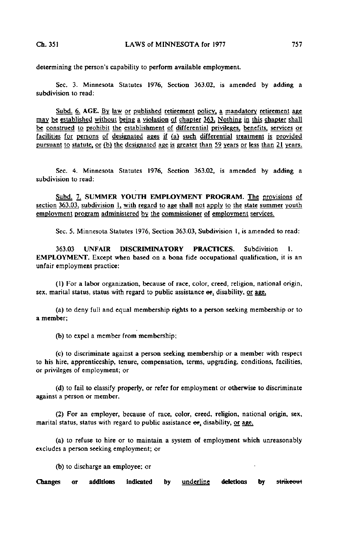determining the person's capability to perform available employment.

Sec. 3. Minnesota Statutes 1976, Section 363.02, is amended by adding a subdivision to read:

Subd. 6. AGE. By law or published retirement policy, a mandatory retirement age may be established without being a violation of chapter 363. Nothing in this chapter shall be construed to prohibit the establishment of differential privileges, benefits, services or facilities for persons of designated ages if (a) such differential treatment is provided pursuant to statute, or (b) the designated age is greater than 59 years or less than 21 years.

Sec. 4. Minnesota Statutes 1976, Section 363.02, is amended by adding a subdivision to read:

Subd. 7. SUMMER YOUTH EMPLOYMENT PROGRAM. The provisions of section  $363.03$ , subdivision 1, with regard to age shall not apply to the state summer youth employment program administered by the commissioner of employment services.

Sec. 5. Minnesota Statutes 1976, Section 363.03, Subdivision 1, is amended to read:

363.03 UNFAIR DISCRIMINATORY PRACTICES. Subdivision 1. EMPLOYMENT. Except when based on a bona fide occupational qualification, it is an unfair employment practice:

(1) For a labor organization, because of race, color, creed, religion, national origin, sex, marital status, status with regard to public assistance or, disability, or age,

(a) to deny full and equal membership rights to a person seeking membership or to a member;

(b) to expel a member from membership;

(c) to discriminate against a person seeking membership or a member with respect to his hire, apprenticeship, tenure, compensation, terms, upgrading, conditions, facilities, or privileges of employment; or

(d) to fail to classify properly, or refer for employment or otherwise to discriminate against a person or member.

(2) For an employer, because of race, color, creed, religion, national origin, sex, marital status, status with regard to public assistance  $er_1$ , disability, or age,

(a) to refuse to hire or to maintain a system of employment which unreasonably excludes a person seeking employment; or

(b) to discharge an employee; or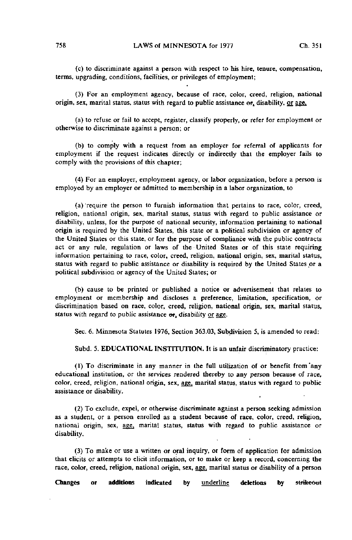(c) to discriminate against a person with respect to his hire, tenure, compensation, terms, upgrading, conditions, facilities, or privileges of employment;

(3) For an employment agency, because of race, color, creed, religion, national origin, sex, marital status, status with regard to public assistance or, disability, or age,

(a) to refuse or fail to accept, register, classify properly, or refer for employment or otherwise to discriminate against a person; or

(b) to comply with a request from an employer for referral of applicants for employment if the request indicates directly or indirectly that the employer fails to comply with the provisions of this chapter;

(4) For an employer, employment agency, or labor organization, before a person is employed by an employer or admitted to membership in a labor organization, to

(a) 'require the person to furnish information that pertains to race, color, creed, religion, national origin, sex, marital status, status with regard to public assistance or disability, unless, for the purpose of national security, information pertaining to national origin is required by the United States, this state or a political subdivision or agency of the United States or this state, or for the purpose of compliance with the public contracts act or any rule, regulation or laws of the United States or of this state requiring information pertaining to race, color, creed, religion, national origin, sex, marital status, status with regard to public assistance or disability is required by the United States or a political subdivision or agency of the United States; or

(b) cause to be printed or published a notice or advertisement that relates to employment or membership and discloses a preference, limitation, specification, or discrimination based on race, color, creed, religion, national origin, sex, marital status, status with regard to public assistance or, disability or age.

Sec. 6. Minnesota Statutes 1976, Section 363.03, Subdivision 5, is amended to read:

Subd. 5. EDUCATIONAL INSTITUTION. It is an unfair discriminatory practice:

(1) To discriminate in any manner in the full utilization of or benefit from'any educational institution, or the services rendered thereby to any person because of race, color, creed, religion, national origin, sex, age, marital status, status with regard to public assistance or disability.

(2) To exclude, expel, or otherwise discriminate against a person seeking admission as a student, or a person enrolled as a student because of race, color, creed, religion, national origin, sex, age, marital status, status with regard to public assistance or disability.

(3) To make or use a written or oral inquiry, or form of application for admission that elicits or attempts to elicit information, or to make or keep a record, concerning the race, color, creed, religion, national origin, sex, age, marital status or disability of a person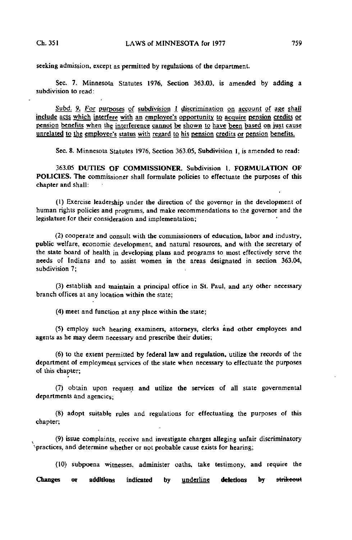seeking admission, except as permitted by regulations of the department.

Sec. 7. Minnesota Statutes 1976, Section 363.03, is amended by adding a subdivision to read:

Subd. 9. For purposes of subdivision 1 discrimination on account of age shall include acts which interfere with an employee's opportunity to acquire pension credits or pension benefits when the interference cannot be shown to have been based on just cause unrelated to the employee's status with regard to his pension credits or pension benefits.

Sec. 8. Minnesota Statutes 1976, Section 363.05, Subdivision 1, is amended to read:

363.05 DUTIES OF COMMISSIONER. Subdivision 1. FORMULATION OF POLICIES. The commissioner shall formulate policies to effectuate the purposes of this chapter and shall:

(1) Exercise leadership under the direction of the governor in the development of human rights policies and programs, and make recommendations to the governor and the legislature for their consideration and implementation;

(2) cooperate and consult with the commissioners of education, labor and industry, public welfare, economic; development, and natural resources, and with the secretary of the state board of health in developing plans and programs to most effectively serve the needs of Indians and to assist women in the areas designated in section 363.04, subdivision 7;

(3) establish and maintain a principal office in St. Paul, and any other necessary branch offices at any location within the state;

(4) meet and function at any place within the state;

(5) employ such hearing examiners, attorneys, clerks and other employees and agents as he may deem necessary and prescribe their duties;

(6) to the extent permitted by federal law and regulation, utilize the records of the department of employment services of the state when necessary to effectuate the purposes of this chapter;

(7) obtain upon request and utilize the services of all state governmental departments and agencies;

(8) adopt suitable rules and regulations for effectuating the purposes of this chapter;

(9) issue complaints, receive and investigate charges alleging unfair discriminatory '•practices, and determine whether or not probable cause exists for hearing;

(10) subpoena witnesses, administer oaths, take testimony, and require the Changes or additions indicated by underline deletions by strikeout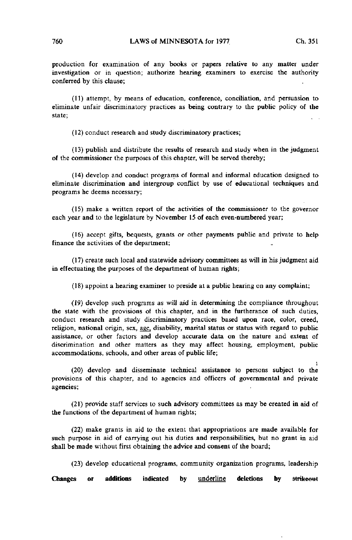production for examination of any books or papers relative to any matter under investigation or in question; authorize hearing examiners to exercise the authority conferred by this clause;

(11) attempt, by means of education, conference, conciliation, and persuasion to eliminate unfair discriminatory practices as being contrary to the public policy of the state;

(12) conduct research and study discriminatory practices;

(13) publish and distribute the results of research and study when in the judgment of the commissioner the purposes of this chapter, will be served thereby;

(14) develop and conduct programs of formal and informal education designed to eliminate discrimination and intergroup conflict by use of educational techniques and programs he deems necessary;

(15) make a written report of the activities of the commissioner to the governor each year and to the legislature by November 15 of each even-numbered year;

(16) accept gifts, bequests, grants or other payments public and private to help finance the activities of the department;

(17) create such local and statewide advisory committees as will in his judgment aid in effectuating the purposes of the department of human rights;

(18) appoint a hearing examiner to preside at a public hearing on any complaint;

(19) develop such programs as will aid in determining the compliance throughout the state with the provisions of this chapter, and in the furtherance of such duties, conduct research and study discriminatory practices based upon race, color, creed, religion, national origin, sex, age, disability, marital status or status with regard to public assistance, or other factors and develop accurate data on the nature and extent of discrimination and other matters as they may affect housing, employment, public accommodations, schools, and other areas of public life;

! (20) develop and disseminate technical assistance to persons subject to the provisions of this chapter, and to agencies and officers of governmental and private agencies;

(21) provide staff services to such advisory committees as may be created in aid of the functions of the department of human rights;

(22) make grants in aid to the extent that appropriations are made available for such purpose in aid of carrying out his duties and responsibilities, but no grant in aid shall be made without first obtaining the advice and consent of the board;

(23) develop educational programs, community organization programs, leadership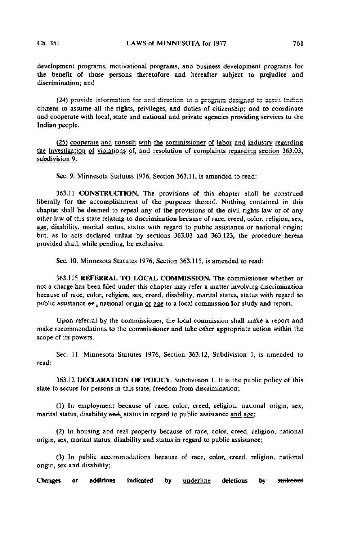development programs, motivational programs, and business development programs for the benefit of those persons theretofore and hereafter subject to prejudice and discrimination; and

(24) provide information for and direction to a program designed to assist Indian citizens to assume all the rights, privileges, and duties of citizenship; and to coordinate and cooperate with local, state and national and private agencies providing services to the Indian people.

(25) cooperate and consult with the commissioner of labor and industry regarding the investigation of violations of, and resolution of complaints regarding section 363.03. subdivision 9.

Sec, 9. Minnesota Statutes 1976, Section 363.11, is amended to read:

363.11 CONSTRUCTION. The provisions of this chapter shall be construed liberally for the accomplishment of the purposes thereof. Nothing contained in this chapter shall be deemed to repeal any of the provisions of the civil rights law or of any other law of this state relating to discrimination because of race, creed, color, religion, sex, age, disability, marital status, status with regard to public assistance or national origin; but, as to acts declared unfair by sections 363.03 and 363.123, the procedure herein provided shall, while pending, be exclusive.

Sec. 10. Minnesota Statutes 1976, Section 363.115, is amended to read:

363.115 REFERRAL TO LOCAL COMMISSION. The commissioner whether or not a charge has been filed under this chapter may refer a matter involving discrimination because of race, color, religion, sex, creed, disability, marital status, status with regard to public assistance  $er_1$ , national origin or age to a local commission for study and report.

Upon referral by the commissioner, the local commission shall make a report and make recommendations to the commissioner and take other appropriate action within the scope of its powers.

Sec. II. Minnesota Statutes 1976, Section 363.12, Subdivision 1, is amended to read:

363.12 DECLARATION OF POLICY. Subdivision 1. It is the public policy of this state to secure for persons in this state, freedom from discrimination;

(1) In employment because of race, color, creed, religion, national origin, sex, marital status, disability and, status in regard to public assistance and age;

(2) In housing and real property because of race, color, creed, religion, national origin, sex, marital status, disability and status in regard to public assistance;

(3) In public accommodations because of race, color, creed, religion, national origin, sex and disability;